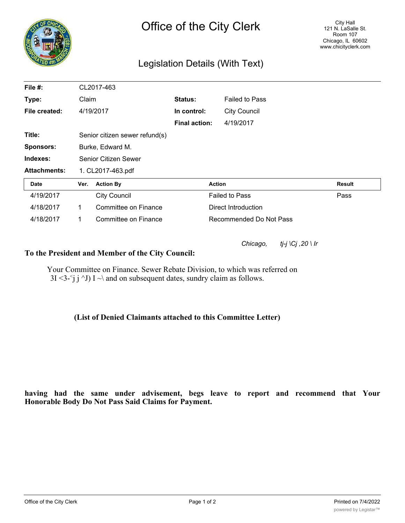

## Legislation Details (With Text)

| File #:             | CL2017-463                     |                      |                      |                         |        |
|---------------------|--------------------------------|----------------------|----------------------|-------------------------|--------|
| Type:               | Claim                          |                      | Status:              | <b>Failed to Pass</b>   |        |
| File created:       |                                | 4/19/2017            | In control:          | <b>City Council</b>     |        |
|                     |                                |                      | <b>Final action:</b> | 4/19/2017               |        |
| Title:              | Senior citizen sewer refund(s) |                      |                      |                         |        |
| <b>Sponsors:</b>    | Burke, Edward M.               |                      |                      |                         |        |
| Indexes:            | Senior Citizen Sewer           |                      |                      |                         |        |
| <b>Attachments:</b> | 1. CL2017-463.pdf              |                      |                      |                         |        |
| Date                | Ver.                           | <b>Action By</b>     |                      | <b>Action</b>           | Result |
| 4/19/2017           |                                | <b>City Council</b>  |                      | <b>Failed to Pass</b>   | Pass   |
| 4/18/2017           | 1                              | Committee on Finance |                      | Direct Introduction     |        |
| 4/18/2017           | 1                              | Committee on Finance |                      | Recommended Do Not Pass |        |

*Chicago, tj-j \Cj ,20 \ Ir*

## **To the President and Member of the City Council:**

Your Committee on Finance. Sewer Rebate Division, to which was referred on 3I <3- $\dot{i}$  i  $\dot{j}$  J) I  $\sim$  and on subsequent dates, sundry claim as follows.

## **(List of Denied Claimants attached to this Committee Letter)**

## **having had the same under advisement, begs leave to report and recommend that Your Honorable Body Do Not Pass Said Claims for Payment.**